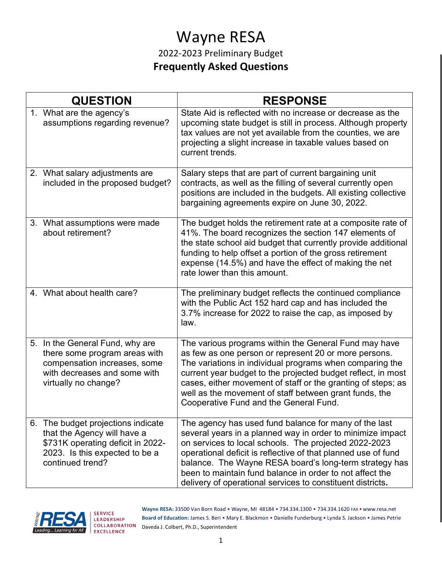# Wayne RESA

#### 2022-2023 Preliminary Budget **Frequently Asked Questions**

| <b>QUESTION</b> |                                                                                                                                                              | <b>RESPONSE</b>                                                                                                                                                                                                                                                                                                                                                                                                                   |
|-----------------|--------------------------------------------------------------------------------------------------------------------------------------------------------------|-----------------------------------------------------------------------------------------------------------------------------------------------------------------------------------------------------------------------------------------------------------------------------------------------------------------------------------------------------------------------------------------------------------------------------------|
|                 | 1. What are the agency's<br>assumptions regarding revenue?                                                                                                   | State Aid is reflected with no increase or decrease as the<br>upcoming state budget is still in process. Although property<br>tax values are not yet available from the counties, we are<br>projecting a slight increase in taxable values based on<br>current trends.                                                                                                                                                            |
|                 | 2. What salary adjustments are<br>included in the proposed budget?                                                                                           | Salary steps that are part of current bargaining unit<br>contracts, as well as the filling of several currently open<br>positions are included in the budgets. All existing collective<br>bargaining agreements expire on June 30, 2022.                                                                                                                                                                                          |
|                 | 3. What assumptions were made<br>about retirement?                                                                                                           | The budget holds the retirement rate at a composite rate of<br>41%. The board recognizes the section 147 elements of<br>the state school aid budget that currently provide additional<br>funding to help offset a portion of the gross retirement<br>expense (14.5%) and have the effect of making the net<br>rate lower than this amount.                                                                                        |
|                 | 4. What about health care?                                                                                                                                   | The preliminary budget reflects the continued compliance<br>with the Public Act 152 hard cap and has included the<br>3.7% increase for 2022 to raise the cap, as imposed by<br>law.                                                                                                                                                                                                                                               |
|                 | 5. In the General Fund, why are<br>there some program areas with<br>compensation increases, some<br>with decreases and some with<br>virtually no change?     | The various programs within the General Fund may have<br>as few as one person or represent 20 or more persons.<br>The variations in individual programs when comparing the<br>current year budget to the projected budget reflect, in most<br>cases, either movement of staff or the granting of steps; as<br>well as the movement of staff between grant funds, the<br>Cooperative Fund and the General Fund.                    |
|                 | 6. The budget projections indicate<br>that the Agency will have a<br>\$731K operating deficit in 2022-<br>2023. Is this expected to be a<br>continued trend? | The agency has used fund balance for many of the last<br>several years in a planned way in order to minimize impact<br>on services to local schools. The projected 2022-2023<br>operational deficit is reflective of that planned use of fund<br>balance. The Wayne RESA board's long-term strategy has<br>been to maintain fund balance in order to not affect the<br>delivery of operational services to constituent districts. |



**Wayne RESA:** 33500 Van Born Road • Wayne, MI 48184 • 734.334.1300 • 734.334.1620 FAX • www.resa.net **Board of Education:** James S. Beri • Mary E. Blackmon • Danielle Funderburg • Lynda S. Jackson • James Petrie Daveda J. Colbert, Ph.D., Superintendent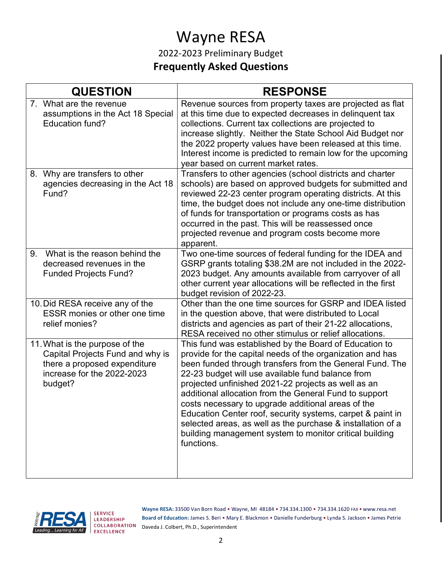# Wayne RESA

2022-2023 Preliminary Budget **Frequently Asked Questions**

| <b>QUESTION</b>                                                                                                                             | <b>RESPONSE</b>                                                                                                                                                                                                                                                                                                                                                                                                                                                                                                                                                                                                   |
|---------------------------------------------------------------------------------------------------------------------------------------------|-------------------------------------------------------------------------------------------------------------------------------------------------------------------------------------------------------------------------------------------------------------------------------------------------------------------------------------------------------------------------------------------------------------------------------------------------------------------------------------------------------------------------------------------------------------------------------------------------------------------|
| 7. What are the revenue<br>assumptions in the Act 18 Special<br><b>Education fund?</b>                                                      | Revenue sources from property taxes are projected as flat<br>at this time due to expected decreases in delinquent tax<br>collections. Current tax collections are projected to<br>increase slightly. Neither the State School Aid Budget nor<br>the 2022 property values have been released at this time.<br>Interest income is predicted to remain low for the upcoming<br>year based on current market rates.                                                                                                                                                                                                   |
| 8. Why are transfers to other<br>agencies decreasing in the Act 18<br>Fund?                                                                 | Transfers to other agencies (school districts and charter<br>schools) are based on approved budgets for submitted and<br>reviewed 22-23 center program operating districts. At this<br>time, the budget does not include any one-time distribution<br>of funds for transportation or programs costs as has<br>occurred in the past. This will be reassessed once<br>projected revenue and program costs become more<br>apparent.                                                                                                                                                                                  |
| What is the reason behind the<br>9.<br>decreased revenues in the<br><b>Funded Projects Fund?</b>                                            | Two one-time sources of federal funding for the IDEA and<br>GSRP grants totaling \$38.2M are not included in the 2022-<br>2023 budget. Any amounts available from carryover of all<br>other current year allocations will be reflected in the first<br>budget revision of 2022-23.                                                                                                                                                                                                                                                                                                                                |
| 10. Did RESA receive any of the<br><b>ESSR</b> monies or other one time<br>relief monies?                                                   | Other than the one time sources for GSRP and IDEA listed<br>in the question above, that were distributed to Local<br>districts and agencies as part of their 21-22 allocations,<br>RESA received no other stimulus or relief allocations.                                                                                                                                                                                                                                                                                                                                                                         |
| 11. What is the purpose of the<br>Capital Projects Fund and why is<br>there a proposed expenditure<br>increase for the 2022-2023<br>budget? | This fund was established by the Board of Education to<br>provide for the capital needs of the organization and has<br>been funded through transfers from the General Fund. The<br>22-23 budget will use available fund balance from<br>projected unfinished 2021-22 projects as well as an<br>additional allocation from the General Fund to support<br>costs necessary to upgrade additional areas of the<br>Education Center roof, security systems, carpet & paint in<br>selected areas, as well as the purchase & installation of a<br>building management system to monitor critical building<br>functions. |



**Wayne RESA:** 33500 Van Born Road • Wayne, MI 48184 • 734.334.1300 • 734.334.1620 FAX • www.resa.net **Board of Education:** James S. Beri • Mary E. Blackmon • Danielle Funderburg • Lynda S. Jackson • James Petrie Daveda J. Colbert, Ph.D., Superintendent